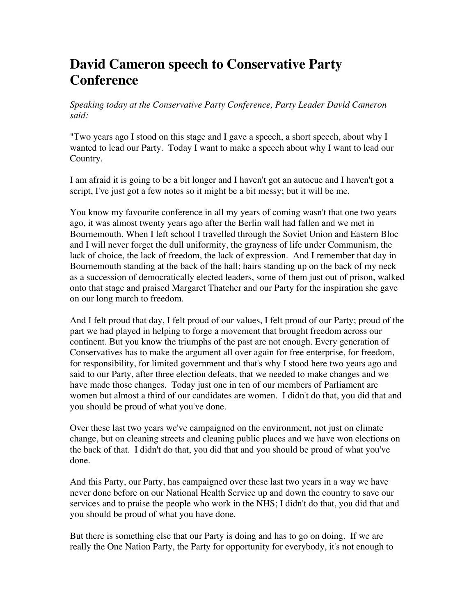## **David Cameron speech to Conservative Party Conference**

*Speaking today at the Conservative Party Conference, Party Leader David Cameron said:*

"Two years ago I stood on this stage and I gave a speech, a short speech, about why I wanted to lead our Party. Today I want to make a speech about why I want to lead our Country.

I am afraid it is going to be a bit longer and I haven't got an autocue and I haven't got a script, I've just got a few notes so it might be a bit messy; but it will be me.

You know my favourite conference in all my years of coming wasn't that one two years ago, it was almost twenty years ago after the Berlin wall had fallen and we met in Bournemouth. When I left school I travelled through the Soviet Union and Eastern Bloc and I will never forget the dull uniformity, the grayness of life under Communism, the lack of choice, the lack of freedom, the lack of expression. And I remember that day in Bournemouth standing at the back of the hall; hairs standing up on the back of my neck as a succession of democratically elected leaders, some of them just out of prison, walked onto that stage and praised Margaret Thatcher and our Party for the inspiration she gave on our long march to freedom.

And I felt proud that day, I felt proud of our values, I felt proud of our Party; proud of the part we had played in helping to forge a movement that brought freedom across our continent. But you know the triumphs of the past are not enough. Every generation of Conservatives has to make the argument all over again for free enterprise, for freedom, for responsibility, for limited government and that's why I stood here two years ago and said to our Party, after three election defeats, that we needed to make changes and we have made those changes. Today just one in ten of our members of Parliament are women but almost a third of our candidates are women. I didn't do that, you did that and you should be proud of what you've done.

Over these last two years we've campaigned on the environment, not just on climate change, but on cleaning streets and cleaning public places and we have won elections on the back of that. I didn't do that, you did that and you should be proud of what you've done.

And this Party, our Party, has campaigned over these last two years in a way we have never done before on our National Health Service up and down the country to save our services and to praise the people who work in the NHS; I didn't do that, you did that and you should be proud of what you have done.

But there is something else that our Party is doing and has to go on doing. If we are really the One Nation Party, the Party for opportunity for everybody, it's not enough to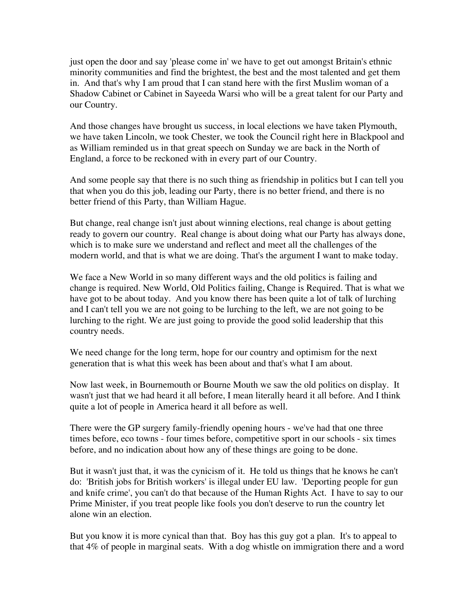just open the door and say 'please come in' we have to get out amongst Britain's ethnic minority communities and find the brightest, the best and the most talented and get them in. And that's why I am proud that I can stand here with the first Muslim woman of a Shadow Cabinet or Cabinet in Sayeeda Warsi who will be a great talent for our Party and our Country.

And those changes have brought us success, in local elections we have taken Plymouth, we have taken Lincoln, we took Chester, we took the Council right here in Blackpool and as William reminded us in that great speech on Sunday we are back in the North of England, a force to be reckoned with in every part of our Country.

And some people say that there is no such thing as friendship in politics but I can tell you that when you do this job, leading our Party, there is no better friend, and there is no better friend of this Party, than William Hague.

But change, real change isn't just about winning elections, real change is about getting ready to govern our country. Real change is about doing what our Party has always done, which is to make sure we understand and reflect and meet all the challenges of the modern world, and that is what we are doing. That's the argument I want to make today.

We face a New World in so many different ways and the old politics is failing and change is required. New World, Old Politics failing, Change is Required. That is what we have got to be about today. And you know there has been quite a lot of talk of lurching and I can't tell you we are not going to be lurching to the left, we are not going to be lurching to the right. We are just going to provide the good solid leadership that this country needs.

We need change for the long term, hope for our country and optimism for the next generation that is what this week has been about and that's what I am about.

Now last week, in Bournemouth or Bourne Mouth we saw the old politics on display. It wasn't just that we had heard it all before, I mean literally heard it all before. And I think quite a lot of people in America heard it all before as well.

There were the GP surgery family-friendly opening hours - we've had that one three times before, eco towns - four times before, competitive sport in our schools - six times before, and no indication about how any of these things are going to be done.

But it wasn't just that, it was the cynicism of it. He told us things that he knows he can't do: 'British jobs for British workers' is illegal under EU law. 'Deporting people for gun and knife crime', you can't do that because of the Human Rights Act. I have to say to our Prime Minister, if you treat people like fools you don't deserve to run the country let alone win an election.

But you know it is more cynical than that. Boy has this guy got a plan. It's to appeal to that 4% of people in marginal seats. With a dog whistle on immigration there and a word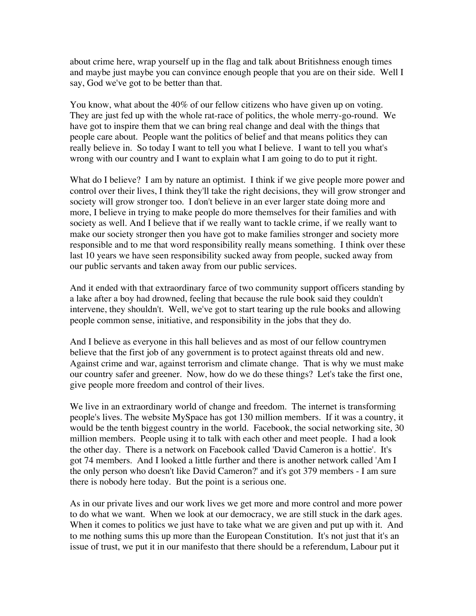about crime here, wrap yourself up in the flag and talk about Britishness enough times and maybe just maybe you can convince enough people that you are on their side. Well I say, God we've got to be better than that.

You know, what about the 40% of our fellow citizens who have given up on voting. They are just fed up with the whole rat-race of politics, the whole merry-go-round. We have got to inspire them that we can bring real change and deal with the things that people care about. People want the politics of belief and that means politics they can really believe in. So today I want to tell you what I believe. I want to tell you what's wrong with our country and I want to explain what I am going to do to put it right.

What do I believe? I am by nature an optimist. I think if we give people more power and control over their lives, I think they'll take the right decisions, they will grow stronger and society will grow stronger too. I don't believe in an ever larger state doing more and more, I believe in trying to make people do more themselves for their families and with society as well. And I believe that if we really want to tackle crime, if we really want to make our society stronger then you have got to make families stronger and society more responsible and to me that word responsibility really means something. I think over these last 10 years we have seen responsibility sucked away from people, sucked away from our public servants and taken away from our public services.

And it ended with that extraordinary farce of two community support officers standing by a lake after a boy had drowned, feeling that because the rule book said they couldn't intervene, they shouldn't. Well, we've got to start tearing up the rule books and allowing people common sense, initiative, and responsibility in the jobs that they do.

And I believe as everyone in this hall believes and as most of our fellow countrymen believe that the first job of any government is to protect against threats old and new. Against crime and war, against terrorism and climate change. That is why we must make our country safer and greener. Now, how do we do these things? Let's take the first one, give people more freedom and control of their lives.

We live in an extraordinary world of change and freedom. The internet is transforming people's lives. The website MySpace has got 130 million members. If it was a country, it would be the tenth biggest country in the world. Facebook, the social networking site, 30 million members. People using it to talk with each other and meet people. I had a look the other day. There is a network on Facebook called 'David Cameron is a hottie'. It's got 74 members. And I looked a little further and there is another network called 'Am I the only person who doesn't like David Cameron?' and it's got 379 members - I am sure there is nobody here today. But the point is a serious one.

As in our private lives and our work lives we get more and more control and more power to do what we want. When we look at our democracy, we are still stuck in the dark ages. When it comes to politics we just have to take what we are given and put up with it. And to me nothing sums this up more than the European Constitution. It's not just that it's an issue of trust, we put it in our manifesto that there should be a referendum, Labour put it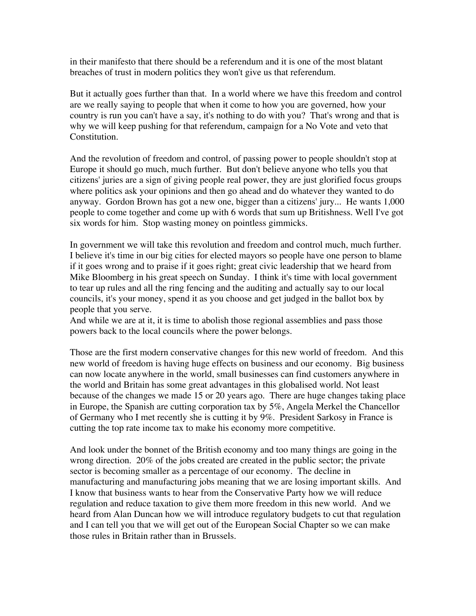in their manifesto that there should be a referendum and it is one of the most blatant breaches of trust in modern politics they won't give us that referendum.

But it actually goes further than that. In a world where we have this freedom and control are we really saying to people that when it come to how you are governed, how your country is run you can't have a say, it's nothing to do with you? That's wrong and that is why we will keep pushing for that referendum, campaign for a No Vote and veto that Constitution.

And the revolution of freedom and control, of passing power to people shouldn't stop at Europe it should go much, much further. But don't believe anyone who tells you that citizens' juries are a sign of giving people real power, they are just glorified focus groups where politics ask your opinions and then go ahead and do whatever they wanted to do anyway. Gordon Brown has got a new one, bigger than a citizens' jury... He wants 1,000 people to come together and come up with 6 words that sum up Britishness. Well I've got six words for him. Stop wasting money on pointless gimmicks.

In government we will take this revolution and freedom and control much, much further. I believe it's time in our big cities for elected mayors so people have one person to blame if it goes wrong and to praise if it goes right; great civic leadership that we heard from Mike Bloomberg in his great speech on Sunday. I think it's time with local government to tear up rules and all the ring fencing and the auditing and actually say to our local councils, it's your money, spend it as you choose and get judged in the ballot box by people that you serve.

And while we are at it, it is time to abolish those regional assemblies and pass those powers back to the local councils where the power belongs.

Those are the first modern conservative changes for this new world of freedom. And this new world of freedom is having huge effects on business and our economy. Big business can now locate anywhere in the world, small businesses can find customers anywhere in the world and Britain has some great advantages in this globalised world. Not least because of the changes we made 15 or 20 years ago. There are huge changes taking place in Europe, the Spanish are cutting corporation tax by 5%, Angela Merkel the Chancellor of Germany who I met recently she is cutting it by 9%. President Sarkosy in France is cutting the top rate income tax to make his economy more competitive.

And look under the bonnet of the British economy and too many things are going in the wrong direction. 20% of the jobs created are created in the public sector; the private sector is becoming smaller as a percentage of our economy. The decline in manufacturing and manufacturing jobs meaning that we are losing important skills. And I know that business wants to hear from the Conservative Party how we will reduce regulation and reduce taxation to give them more freedom in this new world. And we heard from Alan Duncan how we will introduce regulatory budgets to cut that regulation and I can tell you that we will get out of the European Social Chapter so we can make those rules in Britain rather than in Brussels.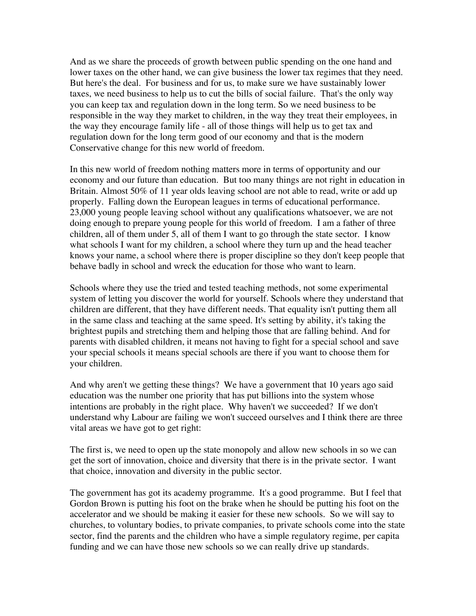And as we share the proceeds of growth between public spending on the one hand and lower taxes on the other hand, we can give business the lower tax regimes that they need. But here's the deal. For business and for us, to make sure we have sustainably lower taxes, we need business to help us to cut the bills of social failure. That's the only way you can keep tax and regulation down in the long term. So we need business to be responsible in the way they market to children, in the way they treat their employees, in the way they encourage family life - all of those things will help us to get tax and regulation down for the long term good of our economy and that is the modern Conservative change for this new world of freedom.

In this new world of freedom nothing matters more in terms of opportunity and our economy and our future than education. But too many things are not right in education in Britain. Almost 50% of 11 year olds leaving school are not able to read, write or add up properly. Falling down the European leagues in terms of educational performance. 23,000 young people leaving school without any qualifications whatsoever, we are not doing enough to prepare young people for this world of freedom. I am a father of three children, all of them under 5, all of them I want to go through the state sector. I know what schools I want for my children, a school where they turn up and the head teacher knows your name, a school where there is proper discipline so they don't keep people that behave badly in school and wreck the education for those who want to learn.

Schools where they use the tried and tested teaching methods, not some experimental system of letting you discover the world for yourself. Schools where they understand that children are different, that they have different needs. That equality isn't putting them all in the same class and teaching at the same speed. It's setting by ability, it's taking the brightest pupils and stretching them and helping those that are falling behind. And for parents with disabled children, it means not having to fight for a special school and save your special schools it means special schools are there if you want to choose them for your children.

And why aren't we getting these things? We have a government that 10 years ago said education was the number one priority that has put billions into the system whose intentions are probably in the right place. Why haven't we succeeded? If we don't understand why Labour are failing we won't succeed ourselves and I think there are three vital areas we have got to get right:

The first is, we need to open up the state monopoly and allow new schools in so we can get the sort of innovation, choice and diversity that there is in the private sector. I want that choice, innovation and diversity in the public sector.

The government has got its academy programme. It's a good programme. But I feel that Gordon Brown is putting his foot on the brake when he should be putting his foot on the accelerator and we should be making it easier for these new schools. So we will say to churches, to voluntary bodies, to private companies, to private schools come into the state sector, find the parents and the children who have a simple regulatory regime, per capita funding and we can have those new schools so we can really drive up standards.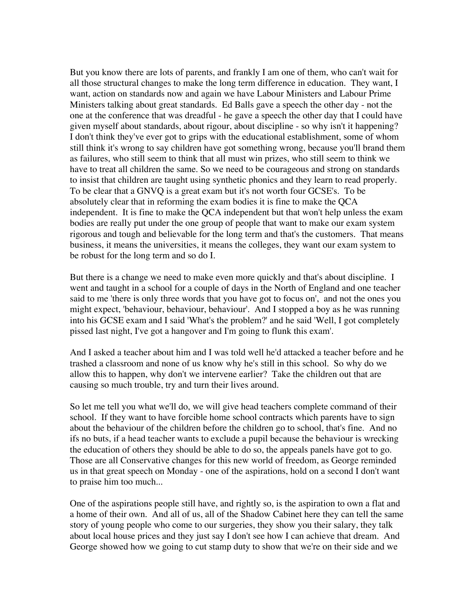But you know there are lots of parents, and frankly I am one of them, who can't wait for all those structural changes to make the long term difference in education. They want, I want, action on standards now and again we have Labour Ministers and Labour Prime Ministers talking about great standards. Ed Balls gave a speech the other day - not the one at the conference that was dreadful - he gave a speech the other day that I could have given myself about standards, about rigour, about discipline - so why isn't it happening? I don't think they've ever got to grips with the educational establishment, some of whom still think it's wrong to say children have got something wrong, because you'll brand them as failures, who still seem to think that all must win prizes, who still seem to think we have to treat all children the same. So we need to be courageous and strong on standards to insist that children are taught using synthetic phonics and they learn to read properly. To be clear that a GNVQ is a great exam but it's not worth four GCSE's. To be absolutely clear that in reforming the exam bodies it is fine to make the QCA independent. It is fine to make the QCA independent but that won't help unless the exam bodies are really put under the one group of people that want to make our exam system rigorous and tough and believable for the long term and that's the customers. That means business, it means the universities, it means the colleges, they want our exam system to be robust for the long term and so do I.

But there is a change we need to make even more quickly and that's about discipline. I went and taught in a school for a couple of days in the North of England and one teacher said to me 'there is only three words that you have got to focus on', and not the ones you might expect, 'behaviour, behaviour, behaviour'. And I stopped a boy as he was running into his GCSE exam and I said 'What's the problem?' and he said 'Well, I got completely pissed last night, I've got a hangover and I'm going to flunk this exam'.

And I asked a teacher about him and I was told well he'd attacked a teacher before and he trashed a classroom and none of us know why he's still in this school. So why do we allow this to happen, why don't we intervene earlier? Take the children out that are causing so much trouble, try and turn their lives around.

So let me tell you what we'll do, we will give head teachers complete command of their school. If they want to have forcible home school contracts which parents have to sign about the behaviour of the children before the children go to school, that's fine. And no ifs no buts, if a head teacher wants to exclude a pupil because the behaviour is wrecking the education of others they should be able to do so, the appeals panels have got to go. Those are all Conservative changes for this new world of freedom, as George reminded us in that great speech on Monday - one of the aspirations, hold on a second I don't want to praise him too much...

One of the aspirations people still have, and rightly so, is the aspiration to own a flat and a home of their own. And all of us, all of the Shadow Cabinet here they can tell the same story of young people who come to our surgeries, they show you their salary, they talk about local house prices and they just say I don't see how I can achieve that dream. And George showed how we going to cut stamp duty to show that we're on their side and we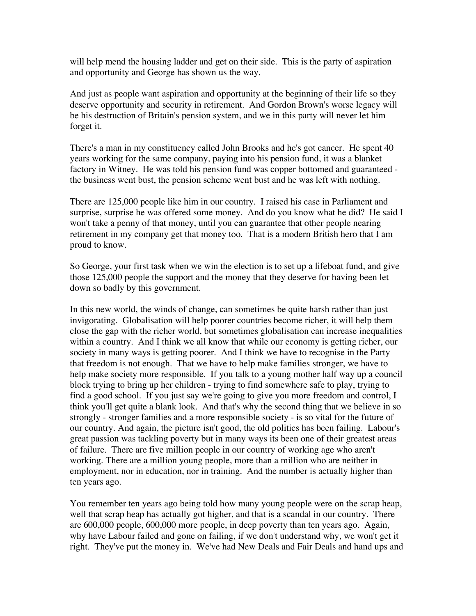will help mend the housing ladder and get on their side. This is the party of aspiration and opportunity and George has shown us the way.

And just as people want aspiration and opportunity at the beginning of their life so they deserve opportunity and security in retirement. And Gordon Brown's worse legacy will be his destruction of Britain's pension system, and we in this party will never let him forget it.

There's a man in my constituency called John Brooks and he's got cancer. He spent 40 years working for the same company, paying into his pension fund, it was a blanket factory in Witney. He was told his pension fund was copper bottomed and guaranteed the business went bust, the pension scheme went bust and he was left with nothing.

There are 125,000 people like him in our country. I raised his case in Parliament and surprise, surprise he was offered some money. And do you know what he did? He said I won't take a penny of that money, until you can guarantee that other people nearing retirement in my company get that money too. That is a modern British hero that I am proud to know.

So George, your first task when we win the election is to set up a lifeboat fund, and give those 125,000 people the support and the money that they deserve for having been let down so badly by this government.

In this new world, the winds of change, can sometimes be quite harsh rather than just invigorating. Globalisation will help poorer countries become richer, it will help them close the gap with the richer world, but sometimes globalisation can increase inequalities within a country. And I think we all know that while our economy is getting richer, our society in many ways is getting poorer. And I think we have to recognise in the Party that freedom is not enough. That we have to help make families stronger, we have to help make society more responsible. If you talk to a young mother half way up a council block trying to bring up her children - trying to find somewhere safe to play, trying to find a good school. If you just say we're going to give you more freedom and control, I think you'll get quite a blank look. And that's why the second thing that we believe in so strongly - stronger families and a more responsible society - is so vital for the future of our country. And again, the picture isn't good, the old politics has been failing. Labour's great passion was tackling poverty but in many ways its been one of their greatest areas of failure. There are five million people in our country of working age who aren't working. There are a million young people, more than a million who are neither in employment, nor in education, nor in training. And the number is actually higher than ten years ago.

You remember ten years ago being told how many young people were on the scrap heap, well that scrap heap has actually got higher, and that is a scandal in our country. There are 600,000 people, 600,000 more people, in deep poverty than ten years ago. Again, why have Labour failed and gone on failing, if we don't understand why, we won't get it right. They've put the money in. We've had New Deals and Fair Deals and hand ups and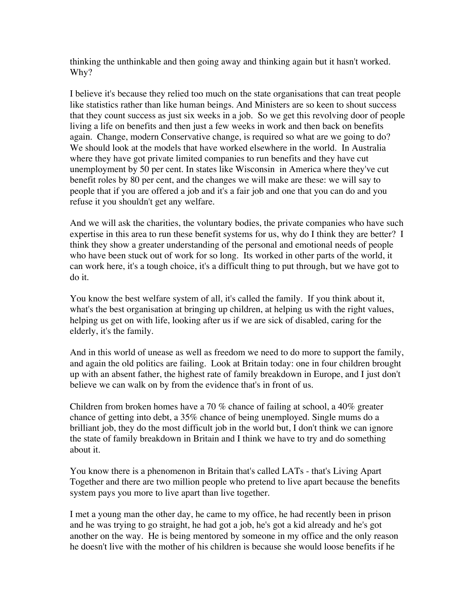thinking the unthinkable and then going away and thinking again but it hasn't worked. Why?

I believe it's because they relied too much on the state organisations that can treat people like statistics rather than like human beings. And Ministers are so keen to shout success that they count success as just six weeks in a job. So we get this revolving door of people living a life on benefits and then just a few weeks in work and then back on benefits again. Change, modern Conservative change, is required so what are we going to do? We should look at the models that have worked elsewhere in the world. In Australia where they have got private limited companies to run benefits and they have cut unemployment by 50 per cent. In states like Wisconsin in America where they've cut benefit roles by 80 per cent, and the changes we will make are these: we will say to people that if you are offered a job and it's a fair job and one that you can do and you refuse it you shouldn't get any welfare.

And we will ask the charities, the voluntary bodies, the private companies who have such expertise in this area to run these benefit systems for us, why do I think they are better? I think they show a greater understanding of the personal and emotional needs of people who have been stuck out of work for so long. Its worked in other parts of the world, it can work here, it's a tough choice, it's a difficult thing to put through, but we have got to do it.

You know the best welfare system of all, it's called the family. If you think about it, what's the best organisation at bringing up children, at helping us with the right values, helping us get on with life, looking after us if we are sick of disabled, caring for the elderly, it's the family.

And in this world of unease as well as freedom we need to do more to support the family, and again the old politics are failing. Look at Britain today: one in four children brought up with an absent father, the highest rate of family breakdown in Europe, and I just don't believe we can walk on by from the evidence that's in front of us.

Children from broken homes have a 70 % chance of failing at school, a 40% greater chance of getting into debt, a 35% chance of being unemployed. Single mums do a brilliant job, they do the most difficult job in the world but, I don't think we can ignore the state of family breakdown in Britain and I think we have to try and do something about it.

You know there is a phenomenon in Britain that's called LATs - that's Living Apart Together and there are two million people who pretend to live apart because the benefits system pays you more to live apart than live together.

I met a young man the other day, he came to my office, he had recently been in prison and he was trying to go straight, he had got a job, he's got a kid already and he's got another on the way. He is being mentored by someone in my office and the only reason he doesn't live with the mother of his children is because she would loose benefits if he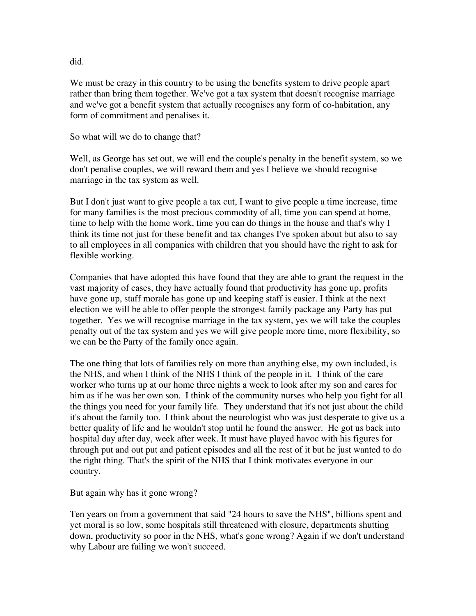did.

We must be crazy in this country to be using the benefits system to drive people apart rather than bring them together. We've got a tax system that doesn't recognise marriage and we've got a benefit system that actually recognises any form of co-habitation, any form of commitment and penalises it.

So what will we do to change that?

Well, as George has set out, we will end the couple's penalty in the benefit system, so we don't penalise couples, we will reward them and yes I believe we should recognise marriage in the tax system as well.

But I don't just want to give people a tax cut, I want to give people a time increase, time for many families is the most precious commodity of all, time you can spend at home, time to help with the home work, time you can do things in the house and that's why I think its time not just for these benefit and tax changes I've spoken about but also to say to all employees in all companies with children that you should have the right to ask for flexible working.

Companies that have adopted this have found that they are able to grant the request in the vast majority of cases, they have actually found that productivity has gone up, profits have gone up, staff morale has gone up and keeping staff is easier. I think at the next election we will be able to offer people the strongest family package any Party has put together. Yes we will recognise marriage in the tax system, yes we will take the couples penalty out of the tax system and yes we will give people more time, more flexibility, so we can be the Party of the family once again.

The one thing that lots of families rely on more than anything else, my own included, is the NHS, and when I think of the NHS I think of the people in it. I think of the care worker who turns up at our home three nights a week to look after my son and cares for him as if he was her own son. I think of the community nurses who help you fight for all the things you need for your family life. They understand that it's not just about the child it's about the family too. I think about the neurologist who was just desperate to give us a better quality of life and he wouldn't stop until he found the answer. He got us back into hospital day after day, week after week. It must have played havoc with his figures for through put and out put and patient episodes and all the rest of it but he just wanted to do the right thing. That's the spirit of the NHS that I think motivates everyone in our country.

But again why has it gone wrong?

Ten years on from a government that said "24 hours to save the NHS", billions spent and yet moral is so low, some hospitals still threatened with closure, departments shutting down, productivity so poor in the NHS, what's gone wrong? Again if we don't understand why Labour are failing we won't succeed.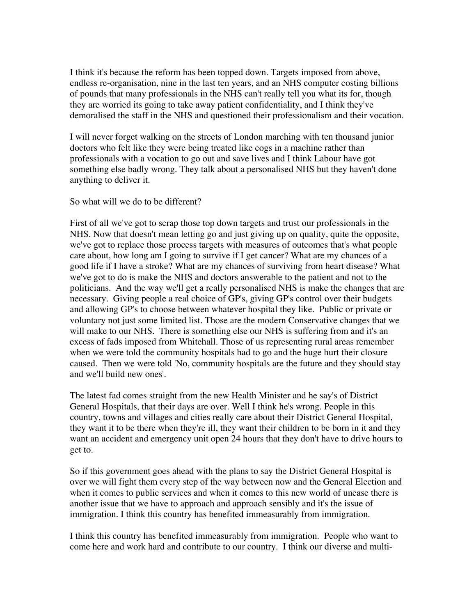I think it's because the reform has been topped down. Targets imposed from above, endless re-organisation, nine in the last ten years, and an NHS computer costing billions of pounds that many professionals in the NHS can't really tell you what its for, though they are worried its going to take away patient confidentiality, and I think they've demoralised the staff in the NHS and questioned their professionalism and their vocation.

I will never forget walking on the streets of London marching with ten thousand junior doctors who felt like they were being treated like cogs in a machine rather than professionals with a vocation to go out and save lives and I think Labour have got something else badly wrong. They talk about a personalised NHS but they haven't done anything to deliver it.

So what will we do to be different?

First of all we've got to scrap those top down targets and trust our professionals in the NHS. Now that doesn't mean letting go and just giving up on quality, quite the opposite, we've got to replace those process targets with measures of outcomes that's what people care about, how long am I going to survive if I get cancer? What are my chances of a good life if I have a stroke? What are my chances of surviving from heart disease? What we've got to do is make the NHS and doctors answerable to the patient and not to the politicians. And the way we'll get a really personalised NHS is make the changes that are necessary. Giving people a real choice of GP's, giving GP's control over their budgets and allowing GP's to choose between whatever hospital they like. Public or private or voluntary not just some limited list. Those are the modern Conservative changes that we will make to our NHS. There is something else our NHS is suffering from and it's an excess of fads imposed from Whitehall. Those of us representing rural areas remember when we were told the community hospitals had to go and the huge hurt their closure caused. Then we were told 'No, community hospitals are the future and they should stay and we'll build new ones'.

The latest fad comes straight from the new Health Minister and he say's of District General Hospitals, that their days are over. Well I think he's wrong. People in this country, towns and villages and cities really care about their District General Hospital, they want it to be there when they're ill, they want their children to be born in it and they want an accident and emergency unit open 24 hours that they don't have to drive hours to get to.

So if this government goes ahead with the plans to say the District General Hospital is over we will fight them every step of the way between now and the General Election and when it comes to public services and when it comes to this new world of unease there is another issue that we have to approach and approach sensibly and it's the issue of immigration. I think this country has benefited immeasurably from immigration.

I think this country has benefited immeasurably from immigration. People who want to come here and work hard and contribute to our country. I think our diverse and multi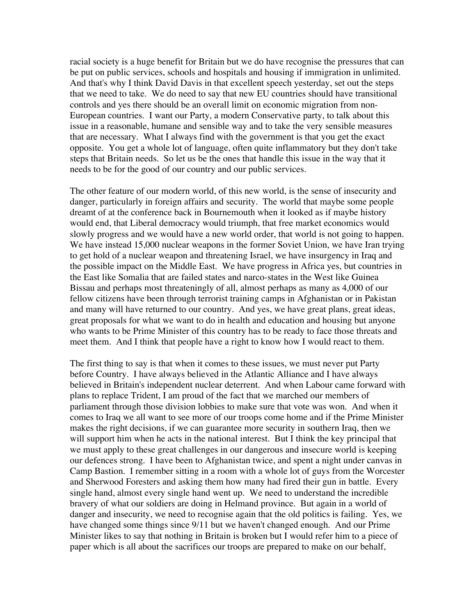racial society is a huge benefit for Britain but we do have recognise the pressures that can be put on public services, schools and hospitals and housing if immigration in unlimited. And that's why I think David Davis in that excellent speech yesterday, set out the steps that we need to take. We do need to say that new EU countries should have transitional controls and yes there should be an overall limit on economic migration from non-European countries. I want our Party, a modern Conservative party, to talk about this issue in a reasonable, humane and sensible way and to take the very sensible measures that are necessary. What I always find with the government is that you get the exact opposite. You get a whole lot of language, often quite inflammatory but they don't take steps that Britain needs. So let us be the ones that handle this issue in the way that it needs to be for the good of our country and our public services.

The other feature of our modern world, of this new world, is the sense of insecurity and danger, particularly in foreign affairs and security. The world that maybe some people dreamt of at the conference back in Bournemouth when it looked as if maybe history would end, that Liberal democracy would triumph, that free market economics would slowly progress and we would have a new world order, that world is not going to happen. We have instead 15,000 nuclear weapons in the former Soviet Union, we have Iran trying to get hold of a nuclear weapon and threatening Israel, we have insurgency in Iraq and the possible impact on the Middle East. We have progress in Africa yes, but countries in the East like Somalia that are failed states and narco-states in the West like Guinea Bissau and perhaps most threateningly of all, almost perhaps as many as 4,000 of our fellow citizens have been through terrorist training camps in Afghanistan or in Pakistan and many will have returned to our country. And yes, we have great plans, great ideas, great proposals for what we want to do in health and education and housing but anyone who wants to be Prime Minister of this country has to be ready to face those threats and meet them. And I think that people have a right to know how I would react to them.

The first thing to say is that when it comes to these issues, we must never put Party before Country. I have always believed in the Atlantic Alliance and I have always believed in Britain's independent nuclear deterrent. And when Labour came forward with plans to replace Trident, I am proud of the fact that we marched our members of parliament through those division lobbies to make sure that vote was won. And when it comes to Iraq we all want to see more of our troops come home and if the Prime Minister makes the right decisions, if we can guarantee more security in southern Iraq, then we will support him when he acts in the national interest. But I think the key principal that we must apply to these great challenges in our dangerous and insecure world is keeping our defences strong. I have been to Afghanistan twice, and spent a night under canvas in Camp Bastion. I remember sitting in a room with a whole lot of guys from the Worcester and Sherwood Foresters and asking them how many had fired their gun in battle. Every single hand, almost every single hand went up. We need to understand the incredible bravery of what our soldiers are doing in Helmand province. But again in a world of danger and insecurity, we need to recognise again that the old politics is failing. Yes, we have changed some things since 9/11 but we haven't changed enough. And our Prime Minister likes to say that nothing in Britain is broken but I would refer him to a piece of paper which is all about the sacrifices our troops are prepared to make on our behalf,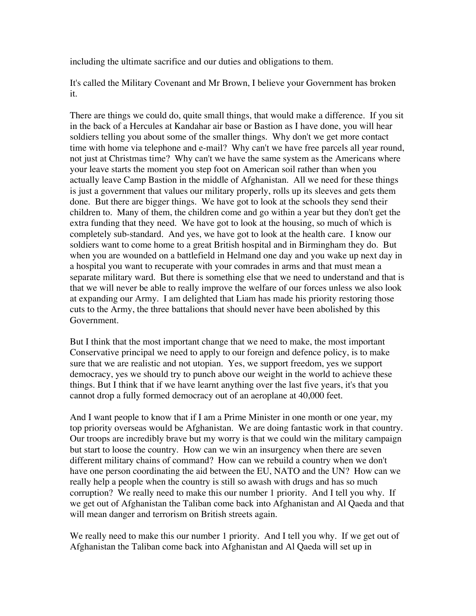including the ultimate sacrifice and our duties and obligations to them.

It's called the Military Covenant and Mr Brown, I believe your Government has broken it.

There are things we could do, quite small things, that would make a difference. If you sit in the back of a Hercules at Kandahar air base or Bastion as I have done, you will hear soldiers telling you about some of the smaller things. Why don't we get more contact time with home via telephone and e-mail? Why can't we have free parcels all year round, not just at Christmas time? Why can't we have the same system as the Americans where your leave starts the moment you step foot on American soil rather than when you actually leave Camp Bastion in the middle of Afghanistan. All we need for these things is just a government that values our military properly, rolls up its sleeves and gets them done. But there are bigger things. We have got to look at the schools they send their children to. Many of them, the children come and go within a year but they don't get the extra funding that they need. We have got to look at the housing, so much of which is completely sub-standard. And yes, we have got to look at the health care. I know our soldiers want to come home to a great British hospital and in Birmingham they do. But when you are wounded on a battlefield in Helmand one day and you wake up next day in a hospital you want to recuperate with your comrades in arms and that must mean a separate military ward. But there is something else that we need to understand and that is that we will never be able to really improve the welfare of our forces unless we also look at expanding our Army. I am delighted that Liam has made his priority restoring those cuts to the Army, the three battalions that should never have been abolished by this Government.

But I think that the most important change that we need to make, the most important Conservative principal we need to apply to our foreign and defence policy, is to make sure that we are realistic and not utopian. Yes, we support freedom, yes we support democracy, yes we should try to punch above our weight in the world to achieve these things. But I think that if we have learnt anything over the last five years, it's that you cannot drop a fully formed democracy out of an aeroplane at 40,000 feet.

And I want people to know that if I am a Prime Minister in one month or one year, my top priority overseas would be Afghanistan. We are doing fantastic work in that country. Our troops are incredibly brave but my worry is that we could win the military campaign but start to loose the country. How can we win an insurgency when there are seven different military chains of command? How can we rebuild a country when we don't have one person coordinating the aid between the EU, NATO and the UN? How can we really help a people when the country is still so awash with drugs and has so much corruption? We really need to make this our number 1 priority. And I tell you why. If we get out of Afghanistan the Taliban come back into Afghanistan and Al Qaeda and that will mean danger and terrorism on British streets again.

We really need to make this our number 1 priority. And I tell you why. If we get out of Afghanistan the Taliban come back into Afghanistan and Al Qaeda will set up in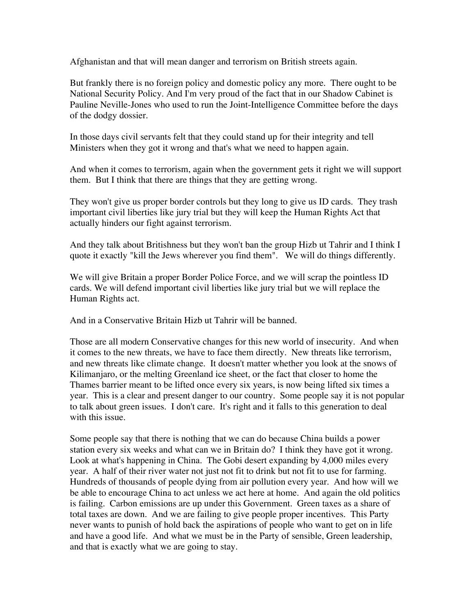Afghanistan and that will mean danger and terrorism on British streets again.

But frankly there is no foreign policy and domestic policy any more. There ought to be National Security Policy. And I'm very proud of the fact that in our Shadow Cabinet is Pauline Neville-Jones who used to run the Joint-Intelligence Committee before the days of the dodgy dossier.

In those days civil servants felt that they could stand up for their integrity and tell Ministers when they got it wrong and that's what we need to happen again.

And when it comes to terrorism, again when the government gets it right we will support them. But I think that there are things that they are getting wrong.

They won't give us proper border controls but they long to give us ID cards. They trash important civil liberties like jury trial but they will keep the Human Rights Act that actually hinders our fight against terrorism.

And they talk about Britishness but they won't ban the group Hizb ut Tahrir and I think I quote it exactly "kill the Jews wherever you find them". We will do things differently.

We will give Britain a proper Border Police Force, and we will scrap the pointless ID cards. We will defend important civil liberties like jury trial but we will replace the Human Rights act.

And in a Conservative Britain Hizb ut Tahrir will be banned.

Those are all modern Conservative changes for this new world of insecurity. And when it comes to the new threats, we have to face them directly. New threats like terrorism, and new threats like climate change. It doesn't matter whether you look at the snows of Kilimanjaro, or the melting Greenland ice sheet, or the fact that closer to home the Thames barrier meant to be lifted once every six years, is now being lifted six times a year. This is a clear and present danger to our country. Some people say it is not popular to talk about green issues. I don't care. It's right and it falls to this generation to deal with this issue.

Some people say that there is nothing that we can do because China builds a power station every six weeks and what can we in Britain do? I think they have got it wrong. Look at what's happening in China. The Gobi desert expanding by 4,000 miles every year. A half of their river water not just not fit to drink but not fit to use for farming. Hundreds of thousands of people dying from air pollution every year. And how will we be able to encourage China to act unless we act here at home. And again the old politics is failing. Carbon emissions are up under this Government. Green taxes as a share of total taxes are down. And we are failing to give people proper incentives. This Party never wants to punish of hold back the aspirations of people who want to get on in life and have a good life. And what we must be in the Party of sensible, Green leadership, and that is exactly what we are going to stay.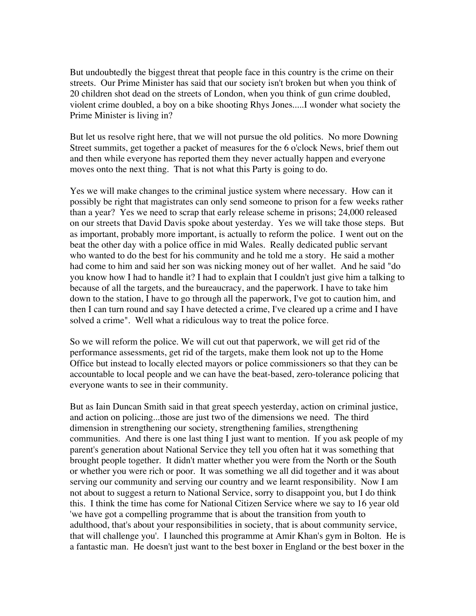But undoubtedly the biggest threat that people face in this country is the crime on their streets. Our Prime Minister has said that our society isn't broken but when you think of 20 children shot dead on the streets of London, when you think of gun crime doubled, violent crime doubled, a boy on a bike shooting Rhys Jones.....I wonder what society the Prime Minister is living in?

But let us resolve right here, that we will not pursue the old politics. No more Downing Street summits, get together a packet of measures for the 6 o'clock News, brief them out and then while everyone has reported them they never actually happen and everyone moves onto the next thing. That is not what this Party is going to do.

Yes we will make changes to the criminal justice system where necessary. How can it possibly be right that magistrates can only send someone to prison for a few weeks rather than a year? Yes we need to scrap that early release scheme in prisons; 24,000 released on our streets that David Davis spoke about yesterday. Yes we will take those steps. But as important, probably more important, is actually to reform the police. I went out on the beat the other day with a police office in mid Wales. Really dedicated public servant who wanted to do the best for his community and he told me a story. He said a mother had come to him and said her son was nicking money out of her wallet. And he said "do you know how I had to handle it? I had to explain that I couldn't just give him a talking to because of all the targets, and the bureaucracy, and the paperwork. I have to take him down to the station, I have to go through all the paperwork, I've got to caution him, and then I can turn round and say I have detected a crime, I've cleared up a crime and I have solved a crime". Well what a ridiculous way to treat the police force.

So we will reform the police. We will cut out that paperwork, we will get rid of the performance assessments, get rid of the targets, make them look not up to the Home Office but instead to locally elected mayors or police commissioners so that they can be accountable to local people and we can have the beat-based, zero-tolerance policing that everyone wants to see in their community.

But as Iain Duncan Smith said in that great speech yesterday, action on criminal justice, and action on policing...those are just two of the dimensions we need. The third dimension in strengthening our society, strengthening families, strengthening communities. And there is one last thing I just want to mention. If you ask people of my parent's generation about National Service they tell you often hat it was something that brought people together. It didn't matter whether you were from the North or the South or whether you were rich or poor. It was something we all did together and it was about serving our community and serving our country and we learnt responsibility. Now I am not about to suggest a return to National Service, sorry to disappoint you, but I do think this. I think the time has come for National Citizen Service where we say to 16 year old 'we have got a compelling programme that is about the transition from youth to adulthood, that's about your responsibilities in society, that is about community service, that will challenge you'. I launched this programme at Amir Khan's gym in Bolton. He is a fantastic man. He doesn't just want to the best boxer in England or the best boxer in the